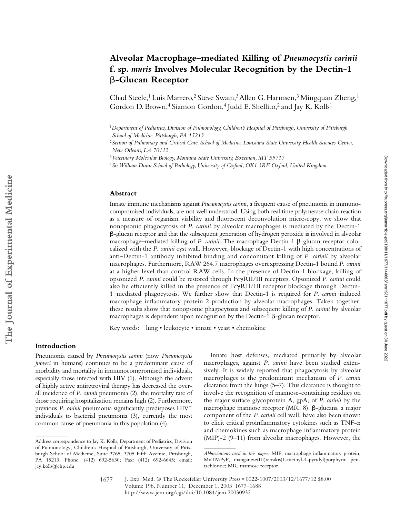# **Alveolar Macrophage–mediated Killing of** *Pneumocystis carinii* **f. sp.** *muris* **Involves Molecular Recognition by the Dectin-1**  -**-Glucan Receptor**

Chad Steele,<sup>1</sup> Luis Marrero,<sup>2</sup> Steve Swain,<sup>3</sup> Allen G. Harmsen,<sup>3</sup> Mingquan Zheng,<sup>1</sup> Gordon D. Brown,<sup>4</sup> Siamon Gordon,<sup>4</sup> Judd E. Shellito,<sup>2</sup> and Jay K. Kolls<sup>1</sup>

## **Abstract**

Innate immune mechanisms against *Pneumocystis carinii*, a frequent cause of pneumonia in immunocompromised individuals, are not well understood. Using both real time polymerase chain reaction as a measure of organism viability and fluorescent deconvolution microscopy, we show that nonopsonic phagocytosis of *P. carinii* by alveolar macrophages is mediated by the Dectin-1 --glucan receptor and that the subsequent generation of hydrogen peroxide is involved in alveolar macrophage–mediated killing of *P. carinii*. The macrophage Dectin-1  $\beta$ -glucan receptor colocalized with the *P. carinii* cyst wall. However, blockage of Dectin-1 with high concentrations of anti–Dectin-1 antibody inhibited binding and concomitant killing of *P. carinii* by alveolar macrophages. Furthermore, RAW 264.7 macrophages overexpressing Dectin-1 bound *P. carinii* at a higher level than control RAW cells. In the presence of Dectin-1 blockage, killing of opsonized *P. carinii* could be restored through FcRII/III receptors. Opsonized *P. carinii* could also be efficiently killed in the presence of FcyRII/III receptor blockage through Dectin-1–mediated phagocytosis. We further show that Dectin-1 is required for *P. carinii*–induced macrophage inflammatory protein 2 production by alveolar macrophages. Taken together, these results show that nonopsonic phagocytosis and subsequent killing of *P. carinii* by alveolar  $m$ acrophages is dependent upon recognition by the Dectin-1  $\beta$ -glucan receptor.

Key words: lung • leukocyte • innate • yeast • chemokine

## **Introduction**

Pneumonia caused by *Pneumocystis carinii* (now *Pneumocystis jiroveci* in humans) continues to be a predominant cause of morbidity and mortality in immunocompromised individuals, especially those infected with HIV (1). Although the advent of highly active antiretroviral therapy has decreased the overall incidence of *P. carinii* pneumonia (2), the mortality rate of those requiring hospitalization remains high (2). Furthermore, previous *P. carinii* pneumonia significantly predisposes HIV individuals to bacterial pneumonia (3), currently the most common cause of pneumonia in this population (4).

Innate host defenses, mediated primarily by alveolar macrophages, against *P. carinii* have been studied extensively. It is widely reported that phagocytosis by alveolar macrophages is the predominant mechanism of *P. carinii* clearance from the lungs (5–7). This clearance is thought to involve the recognition of mannose-containing residues on the major surface glycoprotein A, gpA, of *P. carinii* by the macrophage mannose receptor (MR; 8).  $\beta$ -glucans, a major component of the *P. carinii* cell wall, have also been shown to elicit critical proinflammatory cytokines such as TNF- $\alpha$ and chemokines such as macrophage inflammatory protein (MIP)-2 (9–11) from alveolar macrophages. However, the Address correspondence to Jay K. Kolls, Department of Pediatrics, Division (MIP)-2 (9–11) from alveolar macrophages. However, the

<sup>1</sup>*Department of Pediatrics, Division of Pulmonology, Children's Hospital of Pittsburgh, University of Pittsburgh School of Medicine, Pittsburgh, PA 15213*

<sup>2</sup>*Section of Pulmonary and Critical Care, School of Medicine, Louisiana State University Health Sciences Center, New Orleans, LA 70112*

<sup>3</sup>*Veterinary Molecular Biology, Montana State University, Bozeman, MT 59717*

<sup>4</sup>*Sir William Dunn School of Pathology, University of Oxford, OX1 3RE Oxford, United Kingdom*

of Pulmonology, Children's Hospital of Pittsburgh, University of Pittsburgh School of Medicine, Suite 3765, 3705 Fifth Avenue, Pittsburgh, PA 15213. Phone: (412) 692-5630; Fax: (412) 692-6645; email: jay.kolls@chp.edu

*Abbreviations used in this paper:* MIP, macrophage inflammatory protein; MnTMPyP, manganese(III)tetrakis(1-methyl-4-pyridyl)porphyrin pentachloride; MR, mannose receptor.

J. Exp. Med. © The Rockefeller University Press • 0022-1007/2003/12/1677/12 \$8.00 Volume 198, Number 11, December 1, 2003 1677–1688 http://www.jem.org/cgi/doi/10.1084/jem.20030932 1677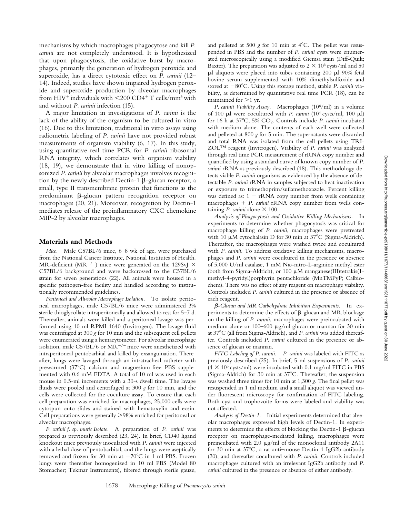mechanisms by which macrophages phagocytose and kill *P. carinii* are not completely understood. It is hypothesized that upon phagocytosis, the oxidative burst by macrophages, primarily the generation of hydrogen peroxide and superoxide, has a direct cytotoxic effect on *P. carinii* (12– 14). Indeed, studies have shown impaired hydrogen peroxide and superoxide production by alveolar macrophages from HIV<sup>+</sup> individuals with  $\leq$ 200 CD4<sup>+</sup> T cells/mm<sup>3</sup> with and without *P. carinii* infection (15).

A major limitation in investigations of *P. carinii* is the lack of the ability of the organism to be cultured in vitro (16). Due to this limitation, traditional in vitro assays using radiometric labeling of *P. carinii* have not provided robust measurements of organism viability (6, 17). In this study, using quantitative real time PCR for *P. carinii* ribosomal RNA integrity, which correlates with organism viability (18, 19), we demonstrate that in vitro killing of nonopsonized *P. carinii* by alveolar macrophages involves recognition by the newly described Dectin-1  $\beta$ -glucan receptor, a small, type II transmembrane protein that functions as the predominant  $\beta$ -glucan pattern recognition receptor on macrophages (20, 21). Moreover, recognition by Dectin-1 mediates release of the proinflammatory CXC chemokine MIP-2 by alveolar macrophages.

## **Materials and Methods**

*Mice.* Male C57BL/6 mice, 6–8 wk of age, were purchased from the National Cancer Institute, National Institutes of Health. MR-deficient (MR<sup>-/-</sup>) mice were generated on the 129SvJ  $\times$ C57BL/6 background and were backcrossed to the C57BL/6 strain for seven generations (22). All animals were housed in a specific pathogen-free facility and handled according to institutionally recommended guidelines.

*Peritoneal and Alveolar Macrophage Isolation.* To isolate peritoneal macrophages, male C57BL/6 mice were administered 3% sterile thioglycollate intraperitoneally and allowed to rest for 5–7 d. Thereafter, animals were killed and a peritoneal lavage was performed using 10 ml RPMI 1640 (Invitrogen). The lavage fluid was centrifuged at 300 *g* for 10 min and the subsequent cell pellets were enumerated using a hemacytometer. For alveolar macrophage isolation, male C57BL/6 or  $MR^{-/-}$  mice were anesthetized with intraperitoneal pentobarbital and killed by exsanguination. Thereafter, lungs were lavaged through an intratracheal catheter with prewarmed (37°C) calcium and magnesium-free PBS supplemented with 0.6 mM EDTA. A total of 10 ml was used in each mouse in 0.5-ml increments with a 30-s dwell time. The lavage fluids were pooled and centrifuged at 300 *g* for 10 min, and the cells were collected for the coculture assay. To ensure that each cell preparation was enriched for macrophages, 25,000 cells were cytospun onto slides and stained with hematoxylin and eosin. Cell preparations were generally 98% enriched for peritoneal or alveolar macrophages.

*P. carinii f. sp. muris Isolate.* A preparation of *P. carinii* was prepared as previously described (23, 24). In brief, CD40 ligand knockout mice previously inoculated with *P. carinii* were injected with a lethal dose of pentobarbital, and the lungs were aseptically removed and frozen for 30 min at  $-70^{\circ}$ C in 1 ml PBS. Frozen lungs were thereafter homogenized in 10 ml PBS (Model 80 Stomacher; Tekmar Instruments), filtered through sterile gauze, and pelleted at 500  $g$  for 10 min at 4 $\rm ^{o}C$ . The pellet was resuspended in PBS and the number of *P. carinii* cysts were enumerated microscopically using a modified Giemsa stain (Diff-Quik; Baxter). The preparation was adjusted to  $2 \times 10^6$  cysts/ml and 50  $\mu$ l aliquots were placed into tubes containing 200  $\mu$ l 90% fetal bovine serum supplemented with 10% dimethylsulfoxide and stored at  $-80^{\circ}$ C. Using this storage method, stable *P. carinii* viability, as determined by quantitative real time PCR (18), can be maintained for 1 yr.

*P. carinii Viability Assay.* Macrophages (106/ml) in a volume of 100  $\mu$ l were cocultured with *P. carinii* (10<sup>4</sup> cysts/ml, 100  $\mu$ l) for 16 h at 37°C, 5% CO<sub>2</sub>. Controls include *P. carinii* incubated with medium alone. The contents of each well were collected and pelleted at 800 *g* for 5 min. The supernatants were discarded and total RNA was isolated from the cell pellets using TRI-ZOL™ reagent (Invitrogen). Viability of *P. carinii* was analyzed through real time PCR measurement of rRNA copy number and quantified by using a standard curve of known copy number of *P. carinii* rRNA as previously described (18). This methodology detects viable *P. carinii* organisms as evidenced by the absence of detectable *P. carinii* rRNA in samples subjected to heat inactivation or exposure to trimethoprim/suflamethoxazole. Percent killing was defined as:  $1 - rRNA$  copy number from wells containing macrophages + *P. carinii* rRNA copy number from wells containing *P. carinii* alone  $\times$  100.

*Analysis of Phagocytosis and Oxidative Killing Mechanisms.* In experiments to determine whether phagocytosis was critical for macrophage killing of *P. carinii*, macrophages were pretreated with 10  $\mu$ M cytochalasin D for 30 min at 37 $\mathrm{^{\circ}C}$  (Sigma-Aldrich). Thereafter, the macrophages were washed twice and cocultured with *P. carinii*. To address oxidative killing mechanisms, macrophages and *P. carinii* were cocultured in the presence or absence of  $5,000$  U/ml catalase, 1 mM N $\omega$ -nitro-L-arginine methyl ester (both from Sigma-Aldrich), or 100  $\mu$ M manganese(III)tetrakis(1methyl-4-pyridyl)porphyrin pentachloride (MnTMPyP; Calbiochem). There was no effect of any reagent on macrophage viability. Controls included *P. carinii* cultured in the presence or absence of each reagent.

-*-Glucan and MR Carbohydrate Inhibition Experiments.* In experiments to determine the effects of  $\beta$ -glucan and MR blockage on the killing of *P. carinii*, macrophages were preincubated with medium alone or 100-600  $\mu$ g/ml glucan or mannan for 30 min at 37 C (all from Sigma-Aldrich), and *P. carinii* was added thereafter. Controls included *P. carinii* cultured in the presence or absence of glucan or mannan.

*FITC Labeling of P. carinii. P. carinii* was labeled with FITC as previously described (25). In brief, 5-ml suspensions of *P. carinii*  $(4 \times 10^5 \text{ cysts/ml})$  were incubated with 0.1 mg/ml FITC in PBS (Sigma-Aldrich) for 30 min at 37°C. Thereafter, the suspension was washed three times for 10 min at 1,300 *g*. The final pellet was resuspended in 1 ml medium and a small aliquot was viewed under fluorescent microscopy for confirmation of FITC labeling. Both cyst and trophozoite forms were labeled and viability was not affected.

*Analysis of Dectin-1.* Initial experiments determined that alveolar macrophages expressed high levels of Dectin-1. In experiments to determine the effects of blocking the Dectin-1  $\beta$ -glucan receptor on macrophage-mediated killing, macrophages were preincubated with 2.0  $\mu$ g/ml of the monoclonal antibody 2A11 for 30 min at  $37^{\circ}$ C, a rat anti-mouse Dectin-1 IgG2b antibody (20), and thereafter cocultured with *P. carinii*. Controls included macrophages cultured with an irrelevant IgG2b antibody and *P. carinii* cultured in the presence or absence of either antibody.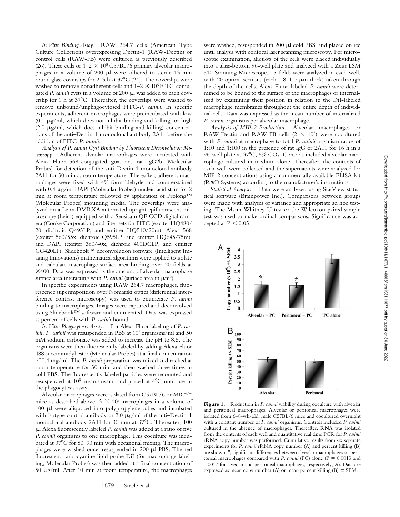*In Vitro Binding Assay.* RAW 264.7 cells (American Type Culture Collection) overexpressing Dectin-1 (RAW-Dectin) or control cells (RAW-FB) were cultured as previously described (26). These cells or  $1-2 \times 10^5 \text{ C}57BL/6$  primary alveolar macrophages in a volume of 200  $\mu$ l were adhered to sterile 13-mm round glass coverslips for  $2-3$  h at  $37^{\circ}$ C (24). The coverslips were washed to remove nonadherent cells and  $1-2 \times 10^5$  FITC-conjugated *P. carinii* cysts in a volume of 200  $\mu$ l was added to each coverslip for 1 h at 37°C. Thereafter, the coverslips were washed to remove unbound/unphagocytosed FITC-*P. carinii*. In specific experiments, adherent macrophages were preincubated with low  $(0.1 \mu g/ml$ , which does not inhibit binding and killing) or high  $(2.0 \mu g/ml$ , which does inhibit binding and killing) concentrations of the anti–Dectin-1 monoclonal antibody 2A11 before the addition of FITC-*P. carinii*.

*Analysis of P. carinii Cyst Binding by Fluorescent Deconvolution Microscopy.* Adherent alveolar macrophages were incubated with Alexa Fluor 568–conjugated goat anti–rat IgG2b (Molecular Probes) for detection of the anti–Dectin-1 monoclonal antibody 2A11 for 30 min at room temperature. Thereafter, adherent macrophages were fixed with 4% formaldehyde and counterstained with  $0.4 \mu g/ml$  DAPI (Molecular Probes) nucleic acid stain for 2 min at room temperature followed by application of Prolong™ (Molecular Probes) mounting media. The coverslips were analyzed on a Leica DMRXA automated upright epifluorescent microscope (Leica) equipped with a Sensicam QE CCD digital camera (Cooke Corporation) and filter sets for FITC (exciter HQ480/ 20, dichroic Q495LP, and emitter HQ510/20m), Alexa 568 (exciter 560/55x, dichroic Q595LP, and emitter HQ645/75m), and DAPI (exciter 360/40x, dichroic 400DCLP, and emitter GG420LP). Slidebook™ deconvolution software (Intelligent Imaging Innovations) mathematical algorithms were applied to isolate and calculate macrophage surface area binding over 20 fields at  $\times$ 400. Data was expressed as the amount of alveolar macrophage surface area interacting with  $P$ . *carinii* (surface area in  $\mu$ m<sup>2</sup>).

In specific experiments using RAW 264.7 macrophages, fluorescence superimposition over Nomarski optics (differential interference contrast microscopy) was used to enumerate *P. carinii* binding to macrophages. Images were captured and deconvolved using Slidebook™ software and enumerated. Data was expressed as percent of cells with *P. carinii* bound.

*In Vitro Phagocytosis Assay.* For Alexa Fluor labeling of *P. carinii*, *P. carinii* was resuspended in PBS at 10<sup>8</sup> organisms/ml and 50 mM sodium carbonate was added to increase the pH to 8.5. The organisms were then fluorescently labeled by adding Alexa Fluor 488 succinimidyl ester (Molecular Probes) at a final concentration of 0.4 mg/ml. The *P. carinii* preparation was mixed and rocked at room temperature for 30 min, and then washed three times in cold PBS. The fluorescently labeled particles were recounted and resuspended at 108 organisms/ml and placed at 4 C until use in the phagocytosis assay.

Alveolar macrophages were isolated from C57BL/6 or MR<sup>-/-</sup> mice as described above.  $3 \times 10^5$  macrophages in a volume of  $100 \mu l$  were aliquoted into polypropylene tubes and incubated with isotype control antibody or 2.0  $\mu$ g/ml of the anti-Dectin-1 monoclonal antibody 2A11 for 30 min at 37°C. Thereafter, 100 l Alexa fluorescently labeled *P. carinii* was added at a ratio of five *P. carinii* organisms to one macrophage. This coculture was incubated at 37°C for 80–90 min with occasional mixing. The macrophages were washed once, resuspended in  $200 \mu l$  PBS. The red fluorescent carbocyanine lipid probe DiI (for macrophage labeling; Molecular Probes) was then added at a final concentration of 50  $\mu$ g/ml. After 10 min at room temperature, the macrophages

were washed, resuspended in  $200 \mu l$  cold PBS, and placed on ice until analysis with confocal laser scanning microscopy. For microscopic examination, aliquots of the cells were placed individually into a glass-bottom 96-well plate and analyzed with a Zeiss LSM 510 Scanning Microscope. 15 fields were analyzed in each well, with 20 optical sections (each  $0.8-1.0$ - $\mu$ m thick) taken through the depth of the cells. Alexa Fluor–labeled *P. carinii* were determined to be bound to the surface of the macrophages or internalized by examining their position in relation to the DiI-labeled macrophage membranes throughout the entire depth of individual cells. Data was expressed as the mean number of internalized *P. carinii* organisms per alveolar macrophage.

*Analysis of MIP-2 Production.* Alveolar macrophages or RAW-Dectin and RAW-FB cells  $(2 \times 10^5)$  were cocultured with *P. carinii* at macrophage to total *P. carinii* organism ratios of 1:10 and 1:100 in the presence of rat IgG or 2A11 for 16 h in a 96-well plate at  $37^{\circ}$ C, 5% CO<sub>2</sub>. Controls included alveolar macrophage cultured in medium alone. Thereafter, the contents of each well were collected and the supernatants were analyzed for MIP-2 concentrations using a commercially available ELISA kit (R&D Systems) according to the manufacturer's instructions.

*Statistical Analysis.* Data were analyzed using StatView statistical software (Brainpower Inc.). Comparisons between groups were made with analyses of variance and appropriate ad hoc testing. The Mann-Whitney U test or the Wilcoxon paired sample test was used to make ordinal comparisons. Significance was accepted at  $P < 0.05$ .



**Figure 1.** Reduction in *P. carinii* viability during coculture with alveolar and peritoneal macrophages. Alveolar or peritoneal macrophages were isolated from 6–8-wk-old, male C57BL/6 mice and cocultured overnight with a constant number of *P. carinii* organisms. Controls included *P. carinii* cultured in the absence of macrophages. Thereafter, RNA was isolated from the contents of each well and quantitative real time PCR for *P. carinii* rRNA copy number was performed. Cumulative results from six separate experiments for *P. carinii* rRNA copy number (A) and percent killing (B) are shown. \*, significant differences between alveolar macrophages or peritoneal macrophages compared with *P. carinii* (PC) alone ( $P = 0.0013$  and 0.0017 for alveolar and peritoneal macrophages, respectively; A). Data are expressed as mean copy number (A) or mean percent killing (B)  $\pm$  SEM.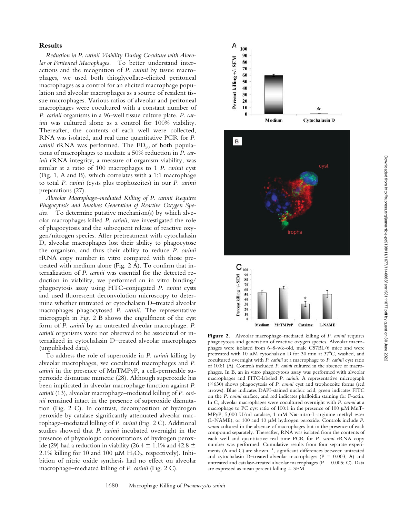## **Results**

*Reduction in P. carinii Viability During Coculture with Alveolar or Peritoneal Macrophages.* To better understand interactions and the recognition of *P. carinii* by tissue macrophages, we used both thioglycollate-elicited peritoneal macrophages as a control for an elicited macrophage population and alveolar macrophages as a source of resident tissue macrophages. Various ratios of alveolar and peritoneal macrophages were cocultured with a constant number of *P. carinii* organisms in a 96-well tissue culture plate. *P. carinii* was cultured alone as a control for 100% viability. Thereafter, the contents of each well were collected, RNA was isolated, and real time quantitative PCR for *P. carinii* rRNA was performed. The  $ED_{50}$  of both populations of macrophages to mediate a 50% reduction in *P. carinii* rRNA integrity, a measure of organism viability, was similar at a ratio of 100 macrophages to 1 *P. carinii* cyst (Fig. 1, A and B), which correlates with a 1:1 macrophage to total *P. carinii* (cysts plus trophozoites) in our *P. carinii* preparations (27).

*Alveolar Macrophage–mediated Killing of P. carinii Requires Phagocytosis and Involves Generation of Reactive Oxygen Species.* To determine putative mechanism(s) by which alveolar macrophages killed *P. carinii*, we investigated the role of phagocytosis and the subsequent release of reactive oxygen/nitrogen species. After pretreatment with cytochalasin D, alveolar macrophages lost their ability to phagocytose the organism, and thus their ability to reduce *P. carinii* rRNA copy number in vitro compared with those pretreated with medium alone (Fig. 2 A). To confirm that internalization of *P. carinii* was essential for the detected reduction in viability, we performed an in vitro binding/ phagocytosis assay using FITC-conjugated *P. carinii* cysts and used fluorescent deconvolution microscopy to determine whether untreated or cytochalasin D–treated alveolar macrophages phagocytosed *P. carinii.* The representative micrograph in Fig. 2 B shows the engulfment of the cyst form of *P. carinii* by an untreated alveolar macrophage. *P. carinii* organisms were not observed to be associated or internalized in cytochalasin D–treated alveolar macrophages (unpublished data).

To address the role of superoxide in *P. carinii* killing by alveolar macrophages, we cocultured macrophages and *P. carinii* in the presence of MnTMPyP, a cell-permeable superoxide dismutase mimetic (28). Although superoxide has been implicated in alveolar macrophage function against *P. carinii* (13), alveolar macrophage–mediated killing of *P. carinii* remained intact in the presence of superoxide dismutation (Fig. 2 C). In contrast, decomposition of hydrogen peroxide by catalase significantly attenuated alveolar macrophage–mediated killing of *P. carinii* (Fig. 2 C). Additional studies showed that *P. carinii* incubated overnight in the presence of physiologic concentrations of hydrogen peroxide (29) had a reduction in viability (26.4  $\pm$  1.1% and 42.8  $\pm$ 2.1% killing for 10 and 100  $\mu$ M H<sub>2</sub>O<sub>2</sub>, respectively). Inhibition of nitric oxide synthesis had no effect on alveolar macrophage–mediated killing of *P. carinii* (Fig. 2 C).



**Figure 2.** Alveolar macrophage–mediated killing of *P. carinii* requires phagocytosis and generation of reactive oxygen species. Alveolar macrophages were isolated from 6–8-wk-old, male C57BL/6 mice and were pretreated with 10  $\mu$ M cytochalasin D for 30 min at 37°C, washed, and cocultured overnight with *P. carinii* at a macrophage to *P. carinii* cyst ratio of 100:1 (A). Controls included *P. carinii* cultured in the absence of macrophages. In B, an in vitro phagocytosis assay was performed with alveolar macrophages and FITC-labeled *P. carinii*. A representative micrograph (630) shows phagocytosis of *P. carinii* cyst and trophozoite forms (red arrows). Blue indicates DAPI-stained nucleic acid, green indicates FITC on the *P. carinii* surface, and red indicates phalloidin staining for F-actin. In C, alveolar macrophages were cocultured overnight with *P. carinii* at a macrophage to PC cyst ratio of 100:1 in the presence of 100  $\mu$ M MnT-MPyP, 5,000 U/ml catalase, 1 mM Nω-nitro-L-arginine methyl ester (L-NAME), or 100 and 10 M hydrogen peroxide. Controls include *P. carinii* cultured in the absence of macrophages but in the presence of each compound separately. Thereafter, RNA was isolated from the contents of each well and quantitative real time PCR for *P. carinii* rRNA copy number was performed. Cumulative results from four separate experiments (A and C) are shown. \*, significant differences between untreated and cytochalasin D-treated alveolar macrophages ( $P = 0.003$ ; A) and untreated and catalase-treated alveolar macrophages ( $P = 0.005$ ; C). Data are expressed as mean percent killing  $\pm$  SEM.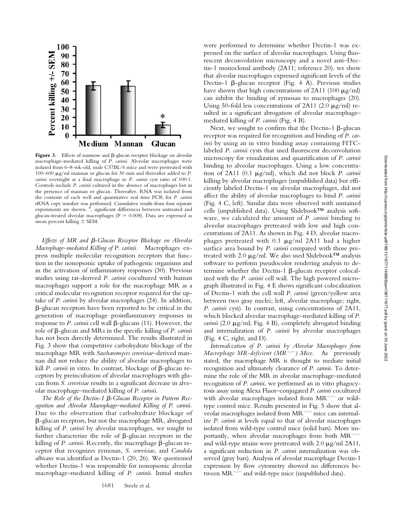

Figure 3. Effects of mannose and  $\beta$ -glucan receptor blockage on alveolar macrophage–mediated killing of *P. carinii*. Alveolar macrophages were isolated from 6–8-wk-old, male C57BL/6 mice and were pretreated with 100–600 μg/ml mannan or glucan for 30 min and thereafter added to *P*. *carinii* overnight at a final macrophage to *P. carinii* cyst ratio of 100:1. Controls include *P. carinii* cultured in the absence of macrophages but in the presence of mannan or glucan. Thereafter, RNA was isolated from the contents of each well and quantitative real time PCR for *P. carinii* rRNA copy number was performed. Cumulative results from four separate experiments are shown. \*, significant differences between untreated and glucan-treated alveolar macrophages ( $P = 0.008$ ). Data are expressed as mean percent killing  $\pm$  SEM.

Effects of MR and  $\beta$ -Glucan Receptor Blockage on Alveolar *Macrophage–mediated Killing of P. carinii.* Macrophages express multiple molecular recognition receptors that function in the nonopsonic uptake of pathogenic organisms and in the activation of inflammatory responses (30). Previous studies using rat-derived *P. carinii* cocultured with human macrophages support a role for the macrophage MR as a critical molecular recognition receptor required for the uptake of *P. carinii* by alveolar macrophages (24). In addition, --glucan receptors have been reported to be critical in the generation of macrophage proinflammatory responses in response to P. carinii cell wall  $\beta$ -glucans (11). However, the role of β-glucan and MRs in the specific killing of *P. carinii* has not been directly determined. The results illustrated in Fig. 3 show that competitive carbohydrate blockage of the macrophage MR with *Saccharomyces cerevisiae*–derived mannan did not reduce the ability of alveolar macrophages to kill P. carinii in vitro. In contrast, blockage of  $\beta$ -glucan receptors by preincubation of alveolar macrophages with glucan from *S. cerevisiae* results in a significant decrease in alveolar macrophage–mediated killing of *P. carinii*.

The Role of the Dectin-1  $\beta$ -Glucan Receptor in Pattern Rec*ognition and Alveolar Macrophage–mediated Killing of P. carinii.* Due to the observation that carbohydrate blockage of --glucan receptors, but not the macrophage MR, abrogated killing of *P. carinii* by alveolar macrophages, we sought to further characterize the role of  $\beta$ -glucan receptors in the killing of *P. carinii*. Recently, the macrophage  $\beta$ -glucan receptor that recognizes zymosan, *S. cerevisiae*, and *Candida albicans* was identified as Dectin-1 (20, 26). We questioned whether Dectin-1 was responsible for nonopsonic alveolar macrophage–mediated killing of *P. carinii*. Initial studies

were performed to determine whether Dectin-1 was expressed on the surface of alveolar macrophages. Using fluorescent deconvolution microscopy and a novel anti–Dectin-1 monoclonal antibody (2A11; reference 20), we show that alveolar macrophages expressed significant levels of the Dectin-1  $\beta$ -glucan receptor (Fig. 4 A). Previous studies have shown that high concentrations of 2A11 (100  $\mu$ g/ml) can inhibit the binding of zymosan to macrophages (20). Using 50-fold less concentrations of 2A11 (2.0  $\mu$ g/ml) resulted in a significant abrogation of alveolar macrophage– mediated killing of *P. carinii* (Fig. 4 B).

Next, we sought to confirm that the Dectin-1  $\beta$ -glucan receptor was required for recognition and binding of *P. carinii* by using an in vitro binding assay containing FITClabeled *P. carinii* cysts that used fluorescent deconvolution microscopy for visualization and quantification of *P. carinii* binding to alveolar macrophages. Using a low concentration of 2A11 (0.1  $\mu$ g/ml), which did not block *P. carinii* killing by alveolar macrophages (unpublished data) but efficiently labeled Dectin-1 on alveolar macrophages, did not affect the ability of alveolar macrophages to bind *P. carinii* (Fig. 4 C, left). Similar data were observed with unstained cells (unpublished data). Using Slidebook™ analysis software, we calculated the amount of *P. carinii* binding to alveolar macrophages pretreated with low and high concentrations of 2A11. As shown in Fig. 4 D, alveolar macrophages pretreated with  $0.1 \mu g/ml$  2A11 had a higher surface area bound by *P. carinii* compared with those pretreated with 2.0  $\mu$ g/ml. We also used Slidebook™ analysis software to perform pseudocolor rendering analysis to determine whether the Dectin-1  $\beta$ -glucan receptor colocalized with the *P. carinii* cell wall. The high powered micrograph illustrated in Fig. 4 E shows significant colocalization of Dectin-1 with the cell wall *P. carinii* (green/yellow area between two gray nuclei; left, alveolar macrophage; right, *P. carinii* cyst). In contrast, using concentrations of 2A11, which blocked alveolar macrophage–mediated killing of *P. carinii* (2.0  $\mu$ g/ml; Fig. 4 B), completely abrogated binding and internalization of *P. carinii* by alveolar macrophages (Fig. 4 C, right, and D).

*Internalization of P. carinii by Alveolar Macrophages from Macrophage MR-deficient (MR<sup>* $-/-$ *</sup>) Mice.* As previously stated, the macrophage MR is thought to mediate initial recognition and ultimately clearance of *P. carinii*. To determine the role of the MR in alveolar macrophage–mediated recognition of *P. carinii*, we performed an in vitro phagocytosis assay using Alexa Fluor–conjugated *P. carinii* cocultured with alveolar macrophages isolated from  $MR^{-/-}$  or wildtype control mice. Results presented in Fig. 5 show that alveolar macrophages isolated from  $MR^{-/-}$  mice can internalize *P. carinii* at levels equal to that of alveolar macrophages isolated from wild-type control mice (solid bars). More importantly, when alveolar macrophages from both  $MR^{-/-}$ and wild-type strains were pretreated with  $2.0 \mu g/ml 2A11$ , a significant reduction in *P. carinii* internalization was observed (gray bars). Analysis of alveolar macrophage Dectin-1 expression by flow cytometry showed no differences between  $MR^{-/-}$  and wild-type mice (unpublished data).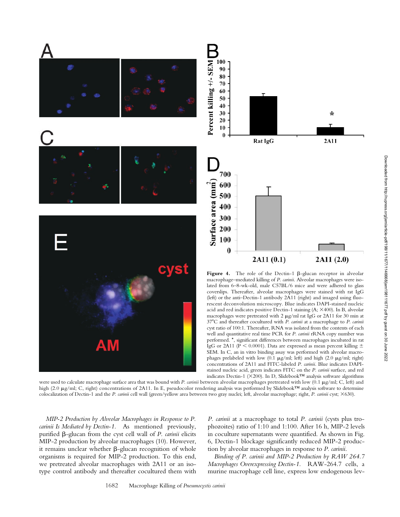

were used to calculate macrophage surface area that was bound with *P. carinii* between alveolar macrophages pretreated with low (0.1 µg/ml; C, left) and high (2.0 g/ml; C, right) concentrations of 2A11. In E, pseudocolor rendering analysis was performed by Slidebook™ analysis software to determine colocalization of Dectin-1 and the *P. carinii* cell wall (green/yellow area between two gray nuclei; left, alveolar macrophage; right, *P. carinii* cyst; 630).

*MIP-2 Production by Alveolar Macrophages in Response to P. carinii Is Mediated by Dectin-1.* As mentioned previously, purified  $\beta$ -glucan from the cyst cell wall of *P. carinii* elicits MIP-2 production by alveolar macrophages (10). However, it remains unclear whether  $\beta$ -glucan recognition of whole organisms is required for MIP-2 production. To this end, we pretreated alveolar macrophages with 2A11 or an isotype control antibody and thereafter cocultured them with

*P. carinii* at a macrophage to total *P. carinii* (cysts plus trophozoites) ratio of 1:10 and 1:100. After 16 h, MIP-2 levels in coculture supernatants were quantified. As shown in Fig. 6, Dectin-1 blockage significantly reduced MIP-2 production by alveolar macrophages in response to *P. carinii*.

*Binding of P. carinii and MIP-2 Production by RAW 264.7 Macrophages Overexpressing Dectin-1.* RAW-264.7 cells, a murine macrophage cell line, express low endogenous lev-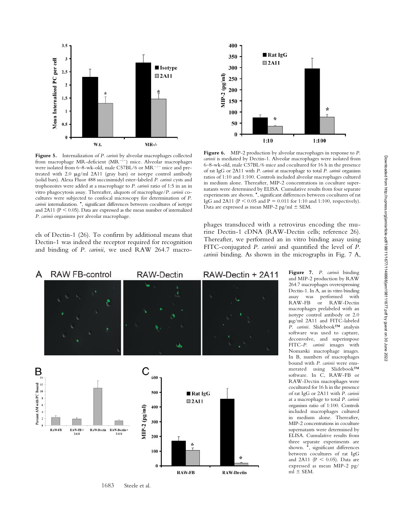



**Figure 5.** Internalization of *P. carinii* by alveolar macrophages collected from macrophage MR-deficient (MR<sup>-/-</sup>) mice. Alveolar macrophages were isolated from 6–8-wk-old, male C57BL/6 or  $MR^{-/-}$  mice and pretreated with 2.0  $\mu$ g/ml 2A11 (gray bars) or isotype control antibody (solid bars). Alexa Fluor 488 succinimidyl ester–labeled *P. carinii* cysts and trophozoites were added at a macrophage to *P. carinii* ratio of 1:5 in an in vitro phagocytosis assay. Thereafter, aliquots of macrophage/*P. carinii* cocultures were subjected to confocal microscopy for determination of *P. carinii* internalization. \*, significant differences between cocultures of isotype and 2A11 ( $P < 0.05$ ). Data are expressed as the mean number of internalized *P. carinii* organisms per alveolar macrophage.

els of Dectin-1 (26). To confirm by additional means that Dectin-1 was indeed the receptor required for recognition and binding of *P. carinii*, we used RAW 264.7 macro-

**Figure 6.** MIP-2 production by alveolar macrophages in response to *P. carinii* is mediated by Dectin-1. Alveolar macrophages were isolated from 6–8-wk-old, male C57BL/6 mice and cocultured for 16 h in the presence of rat IgG or 2A11 with *P. carinii* at macrophage to total *P. carinii* organism ratios of 1:10 and 1:100. Controls included alveolar macrophages cultured in medium alone. Thereafter, MIP-2 concentrations in coculture supernatants were determined by ELISA. Cumulative results from four separate experiments are shown. \*, significant differences between cocultures of rat IgG and 2A11 ( $P < 0.05$  and  $P = 0.011$  for 1:10 and 1:100, respectively). Data are expressed as mean MIP-2 pg/ml  $\pm$  SEM.

phages transduced with a retrovirus encoding the murine Dectin-1 cDNA (RAW-Dectin cells; reference 26). Thereafter, we performed an in vitro binding assay using FITC-conjugated *P. carinii* and quantified the level of *P. carinii* binding. As shown in the micrographs in Fig. 7 A,



**Figure 7.** *P. carinii* binding and MIP-2 production by RAW 264.7 macrophages overexpressing Dectin-1. In A, an in vitro binding assay was performed with RAW-FB or RAW-Dectin macrophages prelabeled with an isotype control antibody or 2.0 g/ml 2A11 and FITC-labeled *P. carinii*. Slidebook™ analysis software was used to capture, deconvolve, and superimpose FITC-*P. carinii* images with Nomarski macrophage images. In B, numbers of macrophages bound with *P. carinii* were enumerated using Slidebook™ software. In C, RAW-FB or RAW-Dectin macrophages were cocultured for 16 h in the presence of rat IgG or 2A11 with *P. carinii* at a macrophage to total *P. carinii* organism ratio of 1:100. Controls included macrophages cultured in medium alone. Thereafter, MIP-2 concentrations in coculture supernatants were determined by ELISA. Cumulative results from three separate experiments are shown. \*, significant differences between cocultures of rat IgG and 2A11 ( $P < 0.05$ ). Data are expressed as mean MIP-2 pg/  $ml \pm SEM$ .

## 1683 Steele et al.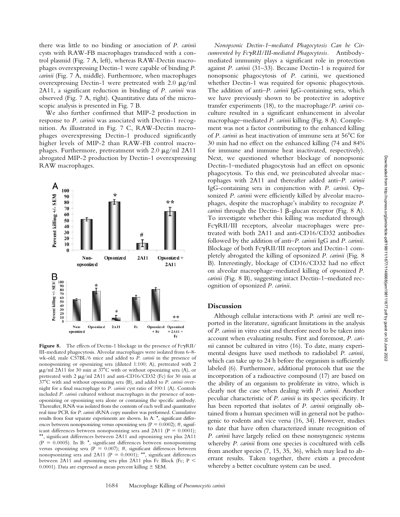there was little to no binding or association of *P. carinii* cysts with RAW-FB macrophages transduced with a control plasmid (Fig. 7 A, left), whereas RAW-Dectin macrophages overexpressing Dectin-1 were capable of binding *P. carinii* (Fig. 7 A, middle). Furthermore, when macrophages overexpressing Dectin-1 were pretreated with  $2.0 \mu g/ml$ 2A11, a significant reduction in binding of *P. carinii* was observed (Fig. 7 A, right). Quantitative data of the microscopic analysis is presented in Fig. 7 B.

We also further confirmed that MIP-2 production in response to *P. carinii* was associated with Dectin-1 recognition. As illustrated in Fig. 7 C, RAW-Dectin macrophages overexpressing Dectin-1 produced significantly higher levels of MIP-2 than RAW-FB control macrophages. Furthermore, pretreatment with  $2.0 \mu g/ml$   $2A11$ abrogated MIP-2 production by Dectin-1 overexpressing RAW macrophages.



Figure 8. The effects of Dectin-1 blockage in the presence of FcyRII/ III-mediated phagocytosis. Alveolar macrophages were isolated from 6–8 wk-old, male C57BL/6 mice and added to *P. carinii* in the presence of nonopsonizing or opsonizing sera (diluted 1:100; A), pretreated with 2  $\mu$ g/ml 2A11 for 30 min at 37°C with or without opsonizing sera (A), or pretreated with 2  $\mu$ g/ml 2A11 and anti-CD16/CD32 (Fc) for 30 min at 37 C with and without opsonizing sera (B), and added to *P. carinii* overnight for a final macrophage to *P. carinii* cyst ratio of 100:1 (A). Controls included *P. carinii* cultured without macrophages in the presence of nonopsonizing or opsonizing sera alone or containing the specific antibody. Thereafter, RNA was isolated from the contents of each well and quantitative real time PCR for *P. carinii* rRNA copy number was performed. Cumulative results from four separate experiments are shown. In A: \*, significant differences between nonopsonizing versus opsonizing sera ( $P = 0.0002$ ); #, significant differences between nonopsonizing sera and 2A11 ( $P = 0.0001$ ); <sup>'</sup>, significant differences between 2A11 and opsonizing sera plus 2A11  $(P = 0.0005)$ . In B: \*, significant differences between nonopsonizing versus opsonizing sera ( $P = 0.007$ ); #, significant differences between nonopsonizing sera and 2A11 ( $P = 0.0001$ ); \*\*, significant differences between 2A11 and opsonizing sera plus 2A11 plus Fc Block (Fc; P 0.0001). Data are expressed as mean percent killing  $\pm$  SEM.

*Nonopsonic Dectin-1–mediated Phagocytosis Can be Circumvented by FcRII/III-mediated Phagocytosis.* Antibodymediated immunity plays a significant role in protection against *P. carinii* (31–33). Because Dectin-1 is required for nonopsonic phagocytosis of *P.* carinii, we questioned whether Dectin-1 was required for opsonic phagocytosis. The addition of anti–*P. carinii* IgG-containing sera, which we have previously shown to be protective in adoptive transfer experiments (18), to the macrophage/*P. carinii* coculture resulted in a significant enhancement in alveolar macrophage–mediated *P. carinii* killing (Fig. 8 A). Complement was not a factor contributing to the enhanced killing of *P. carinii* as heat inactivation of immune sera at 56 C for 30 min had no effect on the enhanced killing (74 and 84% for immune and immune heat inactivated, respectively). Next, we questioned whether blockage of nonopsonic Dectin-1–mediated phagocytosis had an effect on opsonic phagocytosis. To this end, we preincubated alveolar macrophages with 2A11 and thereafter added anti–*P. carinii* IgG-containing sera in conjunction with *P. carinii*. Opsonized *P. carinii* were efficiently killed by alveolar macrophages, despite the macrophage's inability to recognize *P.* carinii through the Dectin-1  $\beta$ -glucan receptor (Fig. 8 A). To investigate whether this killing was mediated through FcRII/III receptors, alveolar macrophages were pretreated with both 2A11 and anti-CD16/CD32 antibodies followed by the addition of anti–*P. carinii* IgG and *P. carinii*. Blockage of both FcyRII/III receptors and Dectin-1 completely abrogated the killing of opsonized *P. carinii* (Fig. 8 B). Interestingly, blockage of CD16/CD32 had no effect on alveolar macrophage–mediated killing of opsonized *P. carinii* (Fig. 8 B), suggesting intact Dectin-1–mediated recognition of opsonized *P. carinii*.

## **Discussion**

Although cellular interactions with *P. carinii* are well reported in the literature, significant limitations in the analysis of *P. carinii* in vitro exist and therefore need to be taken into account when evaluating results. First and foremost, *P. carinii* cannot be cultured in vitro (16). To date, many experimental designs have used methods to radiolabel *P. carinii*, which can take up to 24 h before the organism is sufficiently labeled (6). Furthermore, additional protocols that use the incorporation of a radioactive compound (17) are based on the ability of an organism to proliferate in vitro, which is clearly not the case when dealing with *P. carinii*. Another peculiar characteristic of *P. carinii* is its species specificity. It has been reported that isolates of *P. carinii* originally obtained from a human specimen will in general not be pathogenic to rodents and vice versa (16, 34). However, studies to date that have often characterized innate recognition of *P. carinii* have largely relied on these nonsyngeneic systems whereby *P. carinii* from one species is cocultured with cells from another species (7, 15, 35, 36), which may lead to aberrant results. Taken together, there exists a precedent whereby a better coculture system can be used.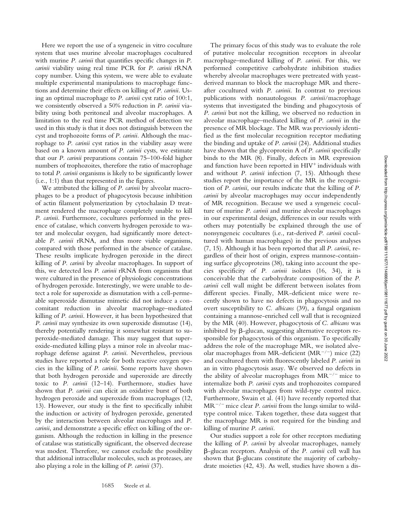Here we report the use of a syngeneic in vitro coculture system that uses murine alveolar macrophages cocultured with murine *P. carinii* that quantifies specific changes in *P. carinii* viability using real time PCR for *P. carinii* rRNA copy number. Using this system, we were able to evaluate multiple experimental manipulations to macrophage functions and determine their effects on killing of *P. carinii*. Using an optimal macrophage to *P. carinii* cyst ratio of 100:1, we consistently observed a 50% reduction in *P. carinii* viability using both peritoneal and alveolar macrophages. A limitation to the real time PCR method of detection we used in this study is that it does not distinguish between the cyst and trophozoite forms of *P. carinii.* Although the macrophage to *P. carinii* cyst ratios in the viability assay were based on a known amount of *P. carinii* cysts, we estimate that our *P. carinii* preparations contain 75–100-fold higher numbers of trophozoites, therefore the ratio of macrophage to total *P. carinii* organisms is likely to be significantly lower (i.e., 1:1) than that represented in the figures.

We attributed the killing of *P. carinii* by alveolar macrophages to be a product of phagocytosis because inhibition of actin filament polymerization by cytochalasin D treatment rendered the macrophage completely unable to kill *P. carinii*. Furthermore, cocultures performed in the presence of catalase, which converts hydrogen peroxide to water and molecular oxygen, had significantly more detectable *P. carinii* rRNA, and thus more viable organisms, compared with those performed in the absence of catalase. These results implicate hydrogen peroxide in the direct killing of *P. carinii* by alveolar macrophages. In support of this, we detected less *P. carinii* rRNA from organisms that were cultured in the presence of physiologic concentrations of hydrogen peroxide. Interestingly, we were unable to detect a role for superoxide as dismutation with a cell-permeable superoxide dismutase mimetic did not induce a concomitant reduction in alveolar macrophage–mediated killing of *P. carinii*. However, it has been hypothesized that *P. carinii* may synthesize its own superoxide dismutase (14), thereby potentially rendering it somewhat resistant to superoxide-mediated damage. This may suggest that superoxide-mediated killing plays a minor role in alveolar macrophage defense against *P. carinii*. Nevertheless, previous studies have reported a role for both reactive oxygen species in the killing of *P. carinii*. Some reports have shown that both hydrogen peroxide and superoxide are directly toxic to *P. carinii* (12–14). Furthermore, studies have shown that *P. carinii* can elicit an oxidative burst of both hydrogen peroxide and superoxide from macrophages (12, 13). However, our study is the first to specifically inhibit the induction or activity of hydrogen peroxide, generated by the interaction between alveolar macrophages and *P. carinii*, and demonstrate a specific effect on killing of the organism. Although the reduction in killing in the presence of catalase was statistically significant, the observed decrease was modest. Therefore, we cannot exclude the possibility that additional intracellular molecules, such as proteases, are also playing a role in the killing of *P. carinii* (37).

The primary focus of this study was to evaluate the role of putative molecular recognition receptors in alveolar macrophage–mediated killing of *P. carinii*. For this, we performed competitive carbohydrate inhibition studies whereby alveolar macrophages were pretreated with yeastderived mannan to block the macrophage MR and thereafter cocultured with *P. carinii*. In contrast to previous publications with nonautologous *P. carinii*/macrophage systems that investigated the binding and phagocytosis of *P. carinii* but not the killing, we observed no reduction in alveolar macrophage–mediated killing of *P. carinii* in the presence of MR blockage. The MR was previously identified as the first molecular recognition receptor mediating the binding and uptake of *P. carinii* (24). Additional studies have shown that the glycoprotein A of *P. carinii* specifically binds to the MR (8). Finally, defects in MR expression and function have been reported in  $HIV<sup>+</sup>$  individuals with and without *P. carinii* infection (7, 15). Although these studies report the importance of the MR in the recognition of *P. carinii*, our results indicate that the killing of *P. carinii* by alveolar macrophages may occur independently of MR recognition. Because we used a syngeneic coculture of murine *P. carinii* and murine alveolar macrophages in our experimental design, differences in our results with others may potentially be explained through the use of nonsyngeneic cocultures (i.e., rat-derived *P. carinii* cocultured with human macrophages) in the previous analyses (7, 15). Although it has been reported that all *P. carinii*, regardless of their host of origin, express mannose-containing surface glycoproteins (38), taking into account the species specificity of *P. carinii* isolates (16, 34), it is conceivable that the carbohydrate composition of the *P. carinii* cell wall might be different between isolates from different species. Finally, MR-deficient mice were recently shown to have no defects in phagocytosis and no overt susceptibility to *C. albicans* (39), a fungal organism containing a mannose-enriched cell wall that is recognized by the MR (40). However, phagocytosis of *C. albicans* was inhibited by  $\beta$ -glucan, suggesting alternative receptors responsible for phagocytosis of this organism. To specifically address the role of the macrophage MR, we isolated alveolar macrophages from MR-deficient (MR<sup>-/-</sup>) mice (22) and cocultured them with fluorescently labeled *P. carinii* in an in vitro phagocytosis assay. We observed no defects in the ability of alveolar macrophages from  $MR^{-/-}$  mice to internalize both *P. carinii* cysts and trophozoites compared with alveolar macrophages from wild-type control mice. Furthermore, Swain et al. (41) have recently reported that  $MR^{-/-}$  mice clear *P. carinii* from the lungs similar to wildtype control mice. Taken together, these data suggest that the macrophage MR is not required for the binding and killing of murine *P. carinii*.

Our studies support a role for other receptors mediating the killing of *P. carinii* by alveolar macrophages, namely --glucan receptors. Analysis of the *P. carinii* cell wall has shown that  $\beta$ -glucans constitute the majority of carbohydrate moieties (42, 43). As well, studies have shown a dis-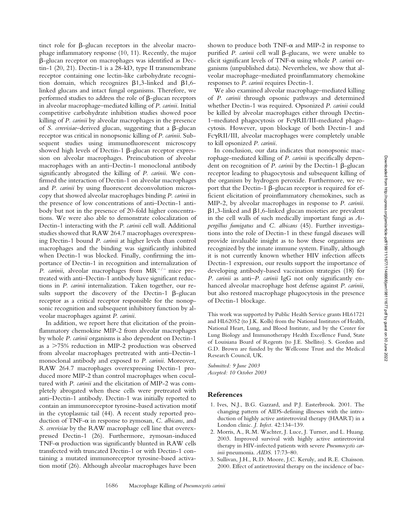$t$  tinct role for  $\beta$ -glucan receptors in the alveolar macrophage inflammatory response (10, 11). Recently, the major --glucan receptor on macrophages was identified as Dectin-1 (20, 21). Dectin-1 is a 28-kD, type II transmembrane receptor containing one lectin-like carbohydrate recognition domain, which recognizes  $\beta$ 1,3-linked and  $\beta$ 1,6linked glucans and intact fungal organisms. Therefore, we performed studies to address the role of  $\beta$ -glucan receptors in alveolar macrophage–mediated killing of *P. carinii*. Initial competitive carbohydrate inhibition studies showed poor killing of *P. carinii* by alveolar macrophages in the presence of *S. cerevisiae*-derived glucan, suggesting that a  $\beta$ -glucan receptor was critical in nonopsonic killing of *P. carinii*. Subsequent studies using immunofluorescent microscopy showed high levels of Dectin-1  $\beta$ -glucan receptor expression on alveolar macrophages. Preincubation of alveolar macrophages with an anti–Dectin-1 monoclonal antibody significantly abrogated the killing of *P. carinii*. We confirmed the interaction of Dectin-1 on alveolar macrophages and *P. carinii* by using fluorescent deconvolution microscopy that showed alveolar macrophages binding *P. carinii* in the presence of low concentrations of anti–Dectin-1 antibody but not in the presence of 20-fold higher concentrations. We were also able to demonstrate colocalization of Dectin-1 interacting with the *P. carinii* cell wall. Additional studies showed that RAW 264.7 macrophages overexpressing Dectin-1 bound *P. carinii* at higher levels than control macrophages and the binding was significantly inhibited when Dectin-1 was blocked. Finally, confirming the importance of Dectin-1 in recognition and internalization of *P. carinii*, alveolar macrophages from  $MR^{-/-}$  mice pretreated with anti–Dectin-1 antibody have significant reductions in *P. carinii* internalization. Taken together, our results support the discovery of the Dectin-1  $\beta$ -glucan receptor as a critical receptor responsible for the nonopsonic recognition and subsequent inhibitory function by alveolar macrophages against *P. carinii*.

In addition, we report here that elicitation of the proinflammatory chemokine MIP-2 from alveolar macrophages by whole *P. carinii* organisms is also dependent on Dectin-1 as a 75% reduction in MIP-2 production was observed from alveolar macrophages pretreated with anti–Dectin-1 monoclonal antibody and exposed to *P. carinii*. Moreover, RAW 264.7 macrophages overexpressing Dectin-1 produced more MIP-2 than control macrophages when cocultured with *P. carinii* and the elicitation of MIP-2 was completely abrogated when these cells were pretreated with anti–Dectin-1 antibody. Dectin-1 was initially reported to contain an immunoreceptor tyrosine-based activation motif in the cytoplasmic tail (44). A recent study reported production of TNF- $\alpha$  in response to zymosan, *C. albicans*, and *S. cerevisiae* by the RAW macrophage cell line that overexpressed Dectin-1 (26). Furthermore, zymosan-induced TNF- $\alpha$  production was significantly blunted in RAW cells transfected with truncated Dectin-1 or with Dectin-1 containing a mutated immunoreceptor tyrosine-based activation motif (26). Although alveolar macrophages have been

shown to produce both TNF- $\alpha$  and MIP-2 in response to purified P. carinii cell wall  $\beta$ -glucans, we were unable to elicit significant levels of TNF- $\alpha$  using whole *P. carinii* organisms (unpublished data). Nevertheless, we show that alveolar macrophage–mediated proinflammatory chemokine responses to *P. carinii* requires Dectin-1.

We also examined alveolar macrophage–mediated killing of *P. carinii* through opsonic pathways and determined whether Dectin-1 was required. Opsonized *P. carinii* could be killed by alveolar macrophages either through Dectin-1–mediated phagocytosis or FcRII/III-mediated phagocytosis. However, upon blockage of both Dectin-1 and FcRII/III, alveolar macrophages were completely unable to kill opsonized *P. carinii*.

In conclusion, our data indicates that nonopsonic macrophage-mediated killing of *P. carinii* is specifically dependent on recognition of  $P$ . *carinii* by the Dectin-1  $\beta$ -glucan receptor leading to phagocytosis and subsequent killing of the organism by hydrogen peroxide. Furthermore, we report that the Dectin-1  $\beta$ -glucan receptor is required for efficient elicitation of proinflammatory chemokines, such as MIP-2, by alveolar macrophages in response to *P. carinii*.  $\beta$ 1,3-linked and  $\beta$ 1,6-linked glucan moieties are prevalent in the cell walls of such medically important fungi as *Aspergillus fumigatus* and *C. albicans* (45). Further investigations into the role of Dectin-1 in these fungal diseases will provide invaluable insight as to how these organisms are recognized by the innate immune system. Finally, although it is not currently known whether HIV infection affects Dectin-1 expression, our results support the importance of developing antibody-based vaccination strategies (18) for *P. carinii* as anti–*P. carinii* IgG not only significantly enhanced alveolar macrophage host defense against *P. carinii*, but also restored macrophage phagocytosis in the presence of Dectin-1 blockage.

This work was supported by Public Health Service grants HL61721 and HL62052 (to J.K. Kolls) from the National Institutes of Health, National Heart, Lung, and Blood Institute, and by the Center for Lung Biology and Immunotherapy Health Excellence Fund, State of Louisiana Board of Regents (to J.E. Shellito). S. Gordon and G.D. Brown are funded by the Wellcome Trust and the Medical Research Council, UK.

*Submitted: 9 June 2003 Accepted: 10 October 2003*

## **References**

- 1. Ives, N.J., B.G. Gazzard, and P.J. Easterbrook. 2001. The changing pattern of AIDS-defining illnesses with the introduction of highly active antiretroviral therapy (HAART) in a London clinic. *J. Infect.* 42:134–139.
- 2. Morris, A., R.M. Wachter, J. Luce, J. Turner, and L. Huang. 2003. Improved survival with highly active antiretroviral therapy in HIV-infected patients with severe *Pneumocystis carinii* pneumonia. *AIDS.* 17:73–80.
- 3. Sullivan, J.H., R.D. Moore, J.C. Keruly, and R.E. Chaisson. 2000. Effect of antiretroviral therapy on the incidence of bac-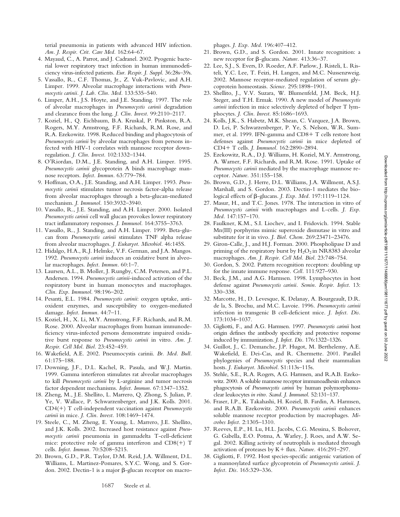terial pneumonia in patients with advanced HIV infection. *Am. J. Respir. Crit. Care Med.* 162:64–67.

- 4. Mayaud, C., A. Parrot, and J. Cadranel. 2002. Pyogenic bacterial lower respiratory tract infection in human immunodeficiency virus-infected patients. *Eur. Respir. J. Suppl.* 36:28s–39s.
- 5. Vassallo, R., C.F. Thomas, Jr., Z. Vuk-Pavlovic, and A.H. Limper. 1999. Alveolar macrophage interactions with *Pneumocystis carinii. J. Lab. Clin. Med.* 133:535–540.
- 6. Limper, A.H., J.S. Hoyte, and J.E. Standing. 1997. The role of alveolar macrophages in *Pneumocystis carinii* degradation and clearance from the lung. *J. Clin. Invest.* 99:2110–2117.
- 7. Koziel, H., Q. Eichbaum, B.A. Kruskal, P. Pinkston, R.A. Rogers, M.Y. Armstrong, F.F. Richards, R.M. Rose, and R.A. Ezekowitz. 1998. Reduced binding and phagocytosis of *Pneumocystis carinii* by alveolar macrophages from persons infected with HIV-1 correlates with mannose receptor downregulation. *J. Clin. Invest.* 102:1332–1344.
- 8. O'Riordan, D.M., J.E. Standing, and A.H. Limper. 1995. *Pneumocystis carinii* glycoprotein A binds macrophage mannose receptors. *Infect. Immun.* 63:779–784.
- 9. Hoffman, O.A., J.E. Standing, and A.H. Limper. 1993. *Pneumocystis carinii* stimulates tumor necrosis factor-alpha release from alveolar macrophages through a beta-glucan-mediated mechanism. *J. Immunol.* 150:3932–3940.
- 10. Vassallo, R., J.E. Standing, and A.H. Limper. 2000. Isolated *Pneumocystis carinii* cell wall glucan provokes lower respiratory tract inflammatory responses. *J. Immunol.* 164:3755–3763.
- 11. Vassallo, R., J. Standing, and A.H. Limper. 1999. Beta-glucan from *Pneumocystis carinii* stimulates TNF alpha release from alveolar macrophages. *J. Eukaryot. Microbiol.* 46:145S.
- 12. Hidalgo, H.A., R.J. Helmke, V.F. German, and J.A. Mangos. 1992. *Pneumocystis carinii* induces an oxidative burst in alveolar macrophages. *Infect. Immun.* 60:1–7.
- 13. Laursen, A.L., B. Moller, J. Rungby, C.M. Petersen, and P.L. Andersen. 1994. *Pneumocystis carinii*-induced activation of the respiratory burst in human monocytes and macrophages. *Clin. Exp. Immunol.* 98:196–202.
- 14. Pesanti, E.L. 1984. *Pneumocystis carinii*: oxygen uptake, antioxident enzymes, and susceptibility to oxygen-mediated damage. *Infect. Immun.* 44:7–11.
- 15. Koziel, H., X. Li, M.Y. Armstrong, F.F. Richards, and R.M. Rose. 2000. Alveolar macrophages from human immunodeficiency virus-infected persons demonstrate impaired oxidative burst response to *Pneumocystis carinii* in vitro. *Am. J. Respir. Cell Mol. Biol.* 23:452–459.
- 16. Wakefield, A.E. 2002. Pneumocystis carinii. *Br. Med. Bull.* 61:175–188.
- 17. Downing, J.F., D.L. Kachel, R. Pasula, and W.J. Martin. 1999. Gamma interferon stimulates rat alveolar macrophages to kill *Pneumocystis carinii* by L-arginine and tumor necrosis factor dependent mechanisms. *Infect. Immun.* 67:1347–1352.
- 18. Zheng, M., J.E. Shellito, L. Marrero, Q. Zhong, S. Julian, P. Ye, V. Wallace, P. Schwarzenberger, and J.K. Kolls. 2001. CD4(+) T cell-independent vaccination against *Pneumocystis carinii* in mice. *J. Clin. Invest.* 108:1469–1474.
- 19. Steele, C., M. Zheng, E. Young, L. Marrero, J.E. Shellito, and J.K. Kolls. 2002. Increased host resistance against *Pneumocystis carinii* pneumonia in gammadelta T-cell-deficient mice: protective role of gamma interferon and  $CD8(+)$  T cells. *Infect. Immun.* 70:5208–5215.
- 20. Brown, G.D., P.R. Taylor, D.M. Reid, J.A. Willment, D.L. Williams, L. Martinez-Pomares, S.Y.C. Wong, and S. Gordon. 2002. Dectin-1 is a major  $\beta$ -glucan receptor on macro-

phages. *J. Exp. Med.* 196:407–412.

- 21. Brown, G.D., and S. Gordon. 2001. Innate recognition: a new receptor for β-glucans. *Nature*. 413:36-37.
- 22. Lee, S.J., S. Evers, D. Roeder, A.F. Parlow, J. Risteli, L. Risteli, Y.C. Lee, T. Feizi, H. Langen, and M.C. Nussenzweig. 2002. Mannose receptor-mediated regulation of serum glycoprotein homeostasis. *Science.* 295:1898–1901.
- 23. Shellito, J., V.V. Suzara, W. Blumenfeld, J.M. Beck, H.J. Steger, and T.H. Ermak. 1990. A new model of *Pneumocystis carinii* infection in mice selectively depleted of helper T lymphocytes. *J. Clin. Invest.* 85:1686–1693.
- 24. Kolls, J.K., S. Habetz, M.K. Shean, C. Vazquez, J.A. Brown, D. Lei, P. Schwarzenberger, P. Ye, S. Nelson, W.R. Summer, et al. 1999. IFN-gamma and  $CD8+T$  cells restore host defenses against *Pneumocystis carinii* in mice depleted of CD4 T cells. *J. Immunol.* 162:2890–2894.
- 25. Ezekowitz, R.A., D.J. Williams, H. Koziel, M.Y. Armstrong, A. Warner, F.F. Richards, and R.M. Rose. 1991. Uptake of *Pneumocystis carinii* mediated by the macrophage mannose receptor. *Nature.* 351:155–158.
- 26. Brown, G.D., J. Herre, D.L. Williams, J.A. Willment, A.S.J. Marshall, and S. Gordon. 2003. Dectin-1 mediates the biological effects of β-glucans. *J. Exp. Med.* 197:1119-1124.
- 27. Masur, H., and T.C. Jones. 1978. The interaction in vitro of *Pneumocystis carinii* with macrophages and L-cells. *J. Exp. Med.* 147:157–170.
- 28. Faulkner, K.M., S.I. Liochev, and I. Fridovich. 1994. Stable Mn(III) porphyrins mimic superoxide dismutase in vitro and substitute for it in vivo. *J. Biol. Chem.* 269:23471–23476.
- 29. Giron-Calle, J., and H.J. Forman. 2000. Phospholipase D and priming of the respiratory burst by  $H_2O_2$  in NR8383 alveolar macrophages. *Am. J. Respir. Cell Mol. Biol.* 23:748–754.
- 30. Gordon, S. 2002. Pattern recognition receptors: doubling up for the innate immune response. *Cell.* 111:927–930.
- 31. Beck, J.M., and A.G. Harmsen. 1998. Lymphocytes in host defense against *Pneumocystis carinii. Semin. Respir. Infect.* 13: 330–338.
- 32. Marcotte, H., D. Levesque, K. Delanay, A. Bourgeault, D.R. de la, S. Brochu, and M.C. Lavoie. 1996. *Pneumocystis carinii* infection in transgenic B cell-deficient mice. *J. Infect. Dis.* 173:1034–1037.
- 33. Gigliotti, F., and A.G. Harmsen. 1997. *Pneumocystis carinii* host origin defines the antibody specificity and protective response induced by immunization. *J. Infect. Dis.* 176:1322–1326.
- 34. Guillot, J., C. Demanche, J.P. Hugot, M. Berthelemy, A.E. Wakefield, E. Dei-Cas, and R. Chermette. 2001. Parallel phylogenies of *Pneumocystis* species and their mammalian hosts. *J. Eukaryot. Microbiol.* S1:113s–115s.
- 35. Stehle, S.E., R.A. Rogers, A.G. Harmsen, and R.A.B. Ezekowitz. 2000. A soluble mannose receptor immunoadhesin enhances phagocytosis of *Pneumocystis carinii* by human polymorphonuclear leukocytes *in vitro. Scand. J. Immunol.* 52:131–137.
- 36. Fraser, I.P., K. Takahashi, H. Koziel, B. Fardin, A. Harmsen, and R.A.B. Ezekowitz. 2000. *Pneumocystis carinii* enhances soluble mannose receptor production by macrophages. *Microbes Infect.* 2:1305–1310.
- 37. Reeves, E.P., H. Lu, H.L. Jacobs, C.G. Messina, S. Bolsover, G. Gabella, E.O. Potma, A. Warley, J. Roes, and A.W. Segal. 2002. Killing activity of neutrophils is mediated through activation of proteases by K + flux. *Nature*. 416:291-297.
- 38. Gigliotti, F. 1992. Host species-specific antigenic variation of a mannosylated surface glycoprotein of *Pneumocystis carinii*. *J. Infect. Dis.* 165:329–336.